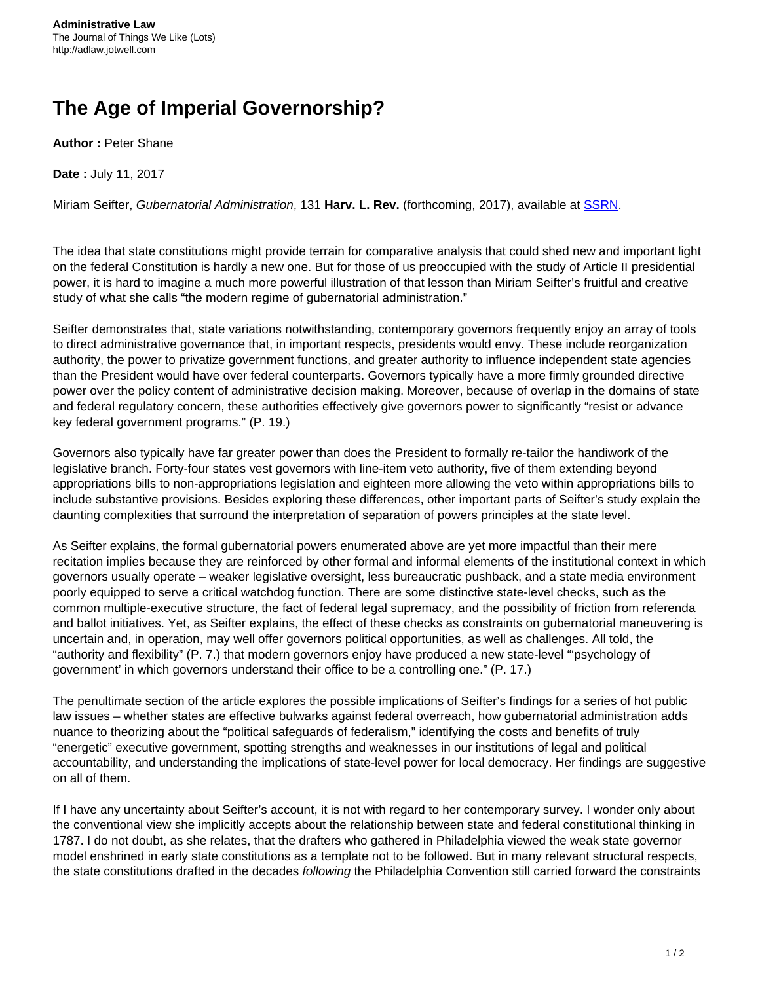## **The Age of Imperial Governorship?**

**Author :** Peter Shane

**Date :** July 11, 2017

Miriam Seifter, Gubernatorial Administration, 131 **Harv. L. Rev.** (forthcoming, 2017), available at [SSRN](https://papers.ssrn.com/sol3/papers.cfm?abstract_id=2927234).

The idea that state constitutions might provide terrain for comparative analysis that could shed new and important light on the federal Constitution is hardly a new one. But for those of us preoccupied with the study of Article II presidential power, it is hard to imagine a much more powerful illustration of that lesson than Miriam Seifter's fruitful and creative study of what she calls "the modern regime of gubernatorial administration."

Seifter demonstrates that, state variations notwithstanding, contemporary governors frequently enjoy an array of tools to direct administrative governance that, in important respects, presidents would envy. These include reorganization authority, the power to privatize government functions, and greater authority to influence independent state agencies than the President would have over federal counterparts. Governors typically have a more firmly grounded directive power over the policy content of administrative decision making. Moreover, because of overlap in the domains of state and federal regulatory concern, these authorities effectively give governors power to significantly "resist or advance key federal government programs." (P. 19.)

Governors also typically have far greater power than does the President to formally re-tailor the handiwork of the legislative branch. Forty-four states vest governors with line-item veto authority, five of them extending beyond appropriations bills to non-appropriations legislation and eighteen more allowing the veto within appropriations bills to include substantive provisions. Besides exploring these differences, other important parts of Seifter's study explain the daunting complexities that surround the interpretation of separation of powers principles at the state level.

As Seifter explains, the formal gubernatorial powers enumerated above are yet more impactful than their mere recitation implies because they are reinforced by other formal and informal elements of the institutional context in which governors usually operate – weaker legislative oversight, less bureaucratic pushback, and a state media environment poorly equipped to serve a critical watchdog function. There are some distinctive state-level checks, such as the common multiple-executive structure, the fact of federal legal supremacy, and the possibility of friction from referenda and ballot initiatives. Yet, as Seifter explains, the effect of these checks as constraints on gubernatorial maneuvering is uncertain and, in operation, may well offer governors political opportunities, as well as challenges. All told, the "authority and flexibility" (P. 7.) that modern governors enjoy have produced a new state-level "'psychology of government' in which governors understand their office to be a controlling one." (P. 17.)

The penultimate section of the article explores the possible implications of Seifter's findings for a series of hot public law issues – whether states are effective bulwarks against federal overreach, how gubernatorial administration adds nuance to theorizing about the "political safeguards of federalism," identifying the costs and benefits of truly "energetic" executive government, spotting strengths and weaknesses in our institutions of legal and political accountability, and understanding the implications of state-level power for local democracy. Her findings are suggestive on all of them.

If I have any uncertainty about Seifter's account, it is not with regard to her contemporary survey. I wonder only about the conventional view she implicitly accepts about the relationship between state and federal constitutional thinking in 1787. I do not doubt, as she relates, that the drafters who gathered in Philadelphia viewed the weak state governor model enshrined in early state constitutions as a template not to be followed. But in many relevant structural respects, the state constitutions drafted in the decades following the Philadelphia Convention still carried forward the constraints